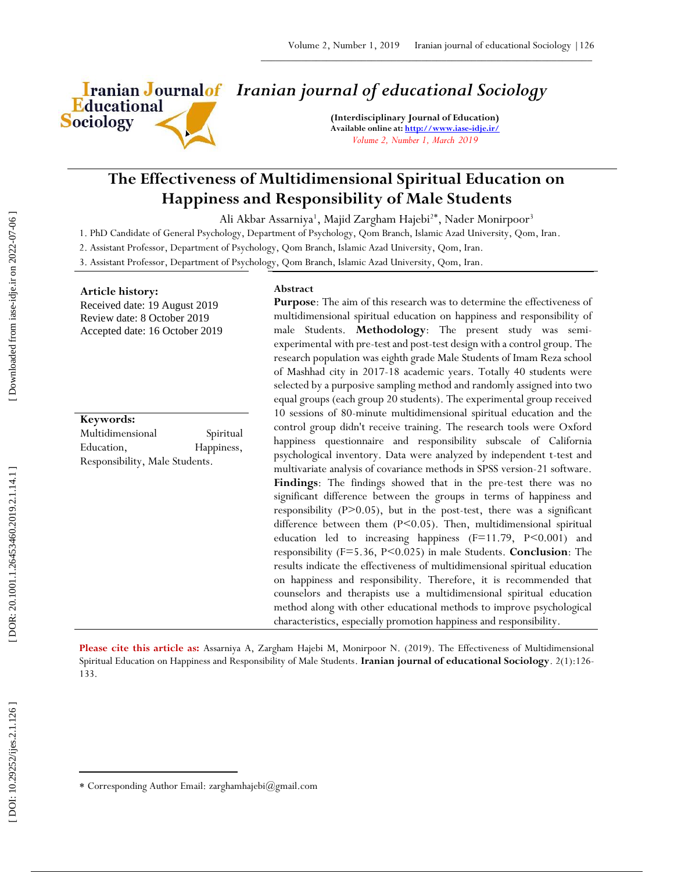

# *Iranian journal of educational Sociology*

**(Interdisciplinary Journal of Education) Available online at[: http://www.iase](http://www.iase-idje.ir/) -idje.ir/** *Volume 2, Number 1, March 2019*

# **The Effectiveness of Multidimensional Spiritual Education on Happiness and Responsibility of Male Students**

Ali Akbar Assarniya<sup>1</sup>, Majid Zargham Hajebi<sup>2\*</sup>, Nader Monirpoor<sup>3</sup>

1. PhD Candidate of General Psychology, Department of Psychology, Qom Branch, Islamic Azad University, Qom, Iran.

2. Assistant Professor, Department of Psychology, Qom Branch, Islamic Azad University, Qom, Iran.

3. Assistant Professor, Department of Psychology, Qom Branch, Islamic Azad University, Qom, Iran.

#### **Article history:**

Received date: 19 August 2019 Review date: 8 October 2019 Accepted date: 16 October 2019

#### **Keywords:**

Multidimensional Spiritual Education, Happiness, Responsibility, Male Students.

#### **Abstract**

**Purpose**: The aim of this research was to determine the effectiveness of multidimensional spiritual education on happiness and responsibility of male Students. **Methodology**: The present study was semi experimental with pre -test and post -test design with a control group. The research population was eighth grade Male Students of Imam Reza school of Mashhad city in 2017 -18 academic years. Totally 40 students were selected by a purposive sampling method and randomly assigned into two equal groups (each group 20 students). The experimental group received 10 sessions of 80 -minute multidimensional spiritual education and the control group didn't receive training. The research tools were Oxford happiness questionnaire and responsibility subscale of California psychological inventory. Data were analyzed by independent t -test and multivariate analysis of covariance methods in SPSS version -21 software. Findings: The findings showed that in the pre-test there was no significant difference between the groups in terms of happiness and responsibility (P>0.05), but in the post-test, there was a significant difference between them (P<0.05). Then, multidimensional spiritual education led to increasing happiness (F=11.79, P<0.001) and responsibility (F=5.36, P<0.025) in male Students. **Conclusion**: The results indicate the effectiveness of multidimensional spiritual education on happiness and responsibility. Therefore, it is recommended that counselors and therapists use a multidimensional spiritual education method along with other educational methods to improve psychological characteristics, especially promotion happiness and responsibility.

Please cite this article as: Assarniya A, Zargham Hajebi M, Monirpoor N. (2019). The Effectiveness of Multidimensional Spiritual Education on Happiness and Responsibility of Male Students. I**ranian journal of educational Sociology**. 2(1):126-133.

 $\overline{\phantom{a}}$ 

Corresponding Author Email: zarghamhajebi@gmail.com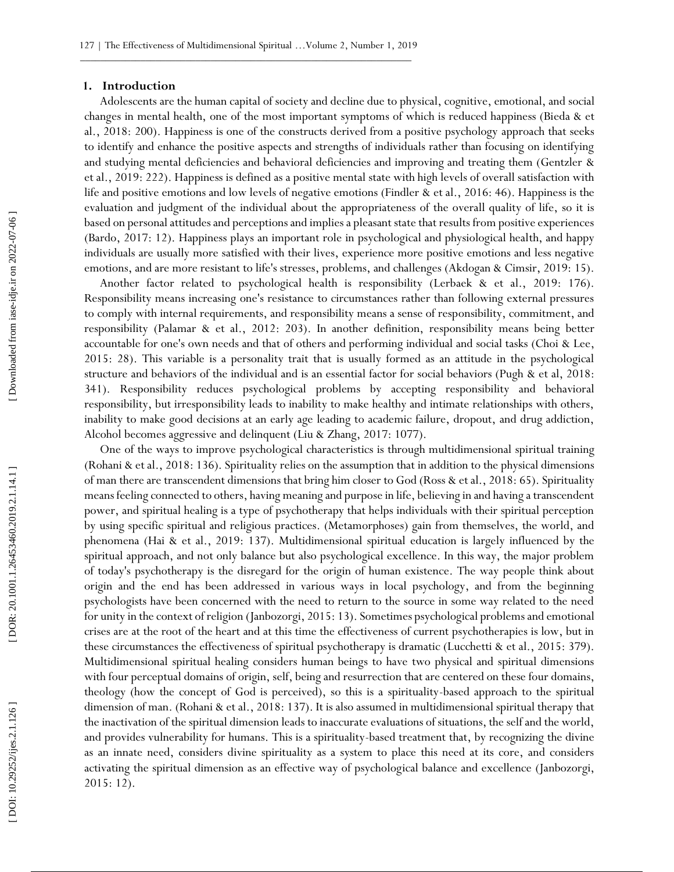#### **1. Introduction**

Adolescents are the human capital of society and decline due to physical, cognitive, emotional, and social changes in mental health, one of the most important symptoms of which is reduced happiness (Bi eda & et al., 2018: 200). Happiness is one of the constructs derived from a positive psychology approach that seeks to identify and enhance the positive aspects and strengths of individuals rather than focusing on identifying and studying mental deficiencies and behavioral deficiencies and improving and treating them (Gentzler & et al., 2019: 222). Happiness is defined as a positive mental state with high levels of overall satisfaction with life and positive emotions and low levels of negative emotions (Findler & et al., 2016: 46). Happiness is the evaluation and judgment of the individual about the appropriateness of the overall quality of life, so it is based on personal attitudes and perceptions and implies a pleasant state that results from positive experiences (B ardo, 2017: 12). Happiness plays an important role in psychological and physiological health, and happy individuals are usually more satisfied with their lives, experience more positive emotions and less negative emotions, and are more resistant to life's stresses, problems, and challenges (Akdogan & Cimsir, 2019: 15).

Another factor related to psychological health is responsibility (Lerbae k & et al., 2019: 176). Responsibility means increasing one's resistance to circumstances rather than following external pressures to comply with internal requirements, and responsibility means a sense of responsibility, commitment, and responsibility (Palam a r & et al., 2012: 203). In another definition, responsibility means being better accountable for one's own needs and that of others and performing individual and social tasks (Choi & Lee, 2015: 28). This variable is a personality trait that is usually formed as an attitude in the psychological structure and behaviors of the individual and is an essential factor for social behaviors (Pugh & et al, 2018: 341). Responsibility reduces psychological problems by accepting responsibility and behavioral responsibility, but irresponsibility leads to inability to make healthy and intimate relationships with others, inability to make good decisions at an early age leading to academic failure, dropout, and drug addiction, Alcohol becomes aggressive and delinquent (Liu & Zhang, 2017: 1077).

One of the ways to improve psychological characteristics is through multidimensional spiritual training (Rohani & et al., 2018: 136). Spirituality relies on the assumption that in addition to the physical dimensions of man there are transcendent dimensions that bring him closer to God (Ross & et al., 2018: 65). Spirituality means feeling connected to others, having meaning and purpose in life, believing in and having a transcendent power, and spiritual healing is a type of psychotherapy that helps individuals with their spiritual perception by using specific spiritual and religious practices. (Metamorphoses) gain from themselves, the world, and phenomena (Hai & et al., 2019: 137). Multidimensional spiritual education is largely influenced by the spiritual approach, and not only balance but also psychological excellence. In this way, the major problem of today's psychotherapy is the disregard for the origin of human existence. The way people think about origin and the end has been addressed in various ways in local psychology, and from the beginning psychologists have been concerned with the need to return to the source in some way related to the need for unity in the context of religion (Janbozorgi, 2015: 13). Sometimes psychological problems and emotional crises are at the root of the heart and at this time the effectiveness of current psychotherapies is low, but in these circumstances the effectiveness of spiritual psychotherapy is dramatic (Lucchetti & et al., 2015: 379). Multidimensional spiritual healing considers human beings to have two physical and spiritual dimensions with four perceptual domains of origin, self, being and resurrection that are centered on these four domains, theology (how the concept of God is perceived), so this is a spirituality -based approach to the spiritual dimension of man. (Rohani & et al., 2018: 137). It is also assumed in multidimensional spiritual therapy that the inactivation of the spiritual dimension leads to inaccurate evaluations of situations, the self and the world, and provides vulnerability for humans. This is a spirituality -based treatment that, by recognizing the divine as an innate need, considers divine spirituality as a system to place this need at its core, and considers activating the spiritual dimension as an effective way of psychological balance and excellence (Ja nbozorgi, 2015: 12).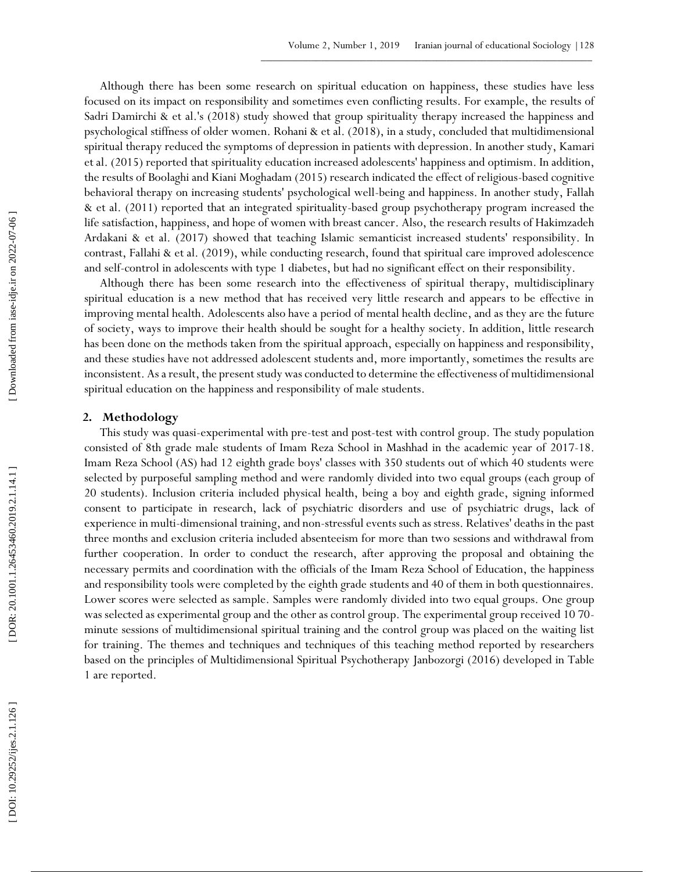Although there has been some research on spiritual education on happiness, these studies have less focused on its impact on responsibility and sometimes even conflicting results. For example, the results of Sadri Damirchi & et al.'s (2018) study showed that group spirituality therapy increased the happiness and psychological stiffness of older women. Rohani & et al. (2018), in a study, concluded that multidimensional spiritual therapy reduced the symptoms of depression in patients with depression. In another study, Kam ari et al. (2015) reported that spirituality education increased adolescents' happiness and optimism. In addition, the results of Bo olaghi and Kiani Moghadam (2015) research indicated the effect of religious -based cognitive behavioral therapy on increasing students' psychological well -being and happiness. In another study, Fallah & et al. (2011) reported that an integrated spirituality -based group psychotherapy program increased the life satisfaction, happiness, and hope of women with breast cancer. Also, the research results of Hakimzadeh Ardakani & et al. (2017) showed that teaching Islamic semanticist increased students' responsibility. In contrast, Fal lahi & et al. (2019), while conducting research, found that spiritual care improved adolescence and self-control in adolescents with type 1 diabetes, but had no significant effect on their responsibility.

Although there has been some research into the effectiveness of spiritual therapy, multidisciplinary spiritual education is a new method that has received very little research and appears to be effective in improving mental health. Adolescents also have a period of mental health decline, and as they are the future of society, ways to improve their health should be sought for a healthy society. In addition, little research has been done on the methods taken from the spiritual approach, especially on happiness and responsibility, and these studies have not addressed adolescent students and, more importantly, sometimes the results are inconsistent. As a result, the present study was conducted to determine the effectiveness of multidimensional spiritual education on the happiness and responsibility of male students.

### **2. Methodology**

This study was quasi -experimental with pre -test and post -test with control group. The study population consisted of 8th grade male students of Imam Reza School in Mashhad in the academic year of 2017 -18. Imam Reza School (AS) had 12 eighth grade boys' classes with 350 students out of which 40 students were selected by purposeful sampling method and were randomly divided into two equal groups (each group of 20 students). Inclusion criteria included physical health, being a boy and eighth grade, signing informed consent to participate in research, lack of psychiatric disorders and use of psychiatric drugs, lack of experience in multi -dimensional training, and non -stressful events such as stress. Relatives' deaths in the past three months and exclusion criteria included absenteeism for more than two sessions and withdrawal from further cooperation. In order to conduct the research, after approving the proposal and obtaining the necessary permits and coordination with the officials of the Imam Reza School of Education, the happiness and responsibility tools were completed by the eighth grade students and 40 of them in both questionnaires. Lower scores were selected as sample. Samples were randomly divided into two equal groups. One group was selected as experimental group and the other as control group. The experimental group received 10 70 minute sessions of multidimensional spiritual training and the control group was placed on the waiting list for training. The themes and techniques and techniques of this teaching method reported by researchers based on the principles of Multidimensional Spiritual Psychotherapy Janbozorgi (2016) developed in Table 1 are reported.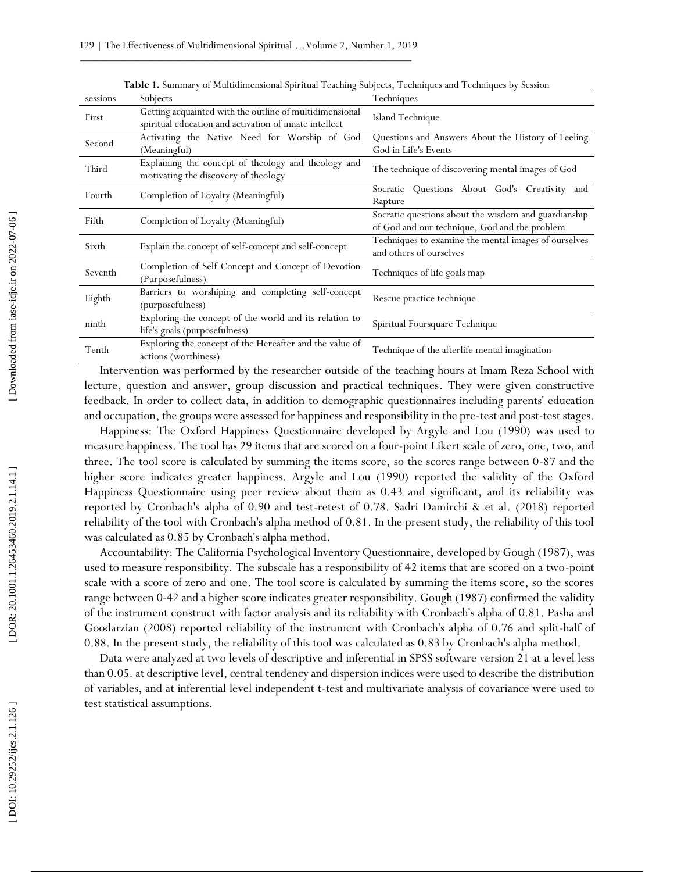| sessions | Subjects                                                                                                          | Techniques                                                                                            |  |  |  |
|----------|-------------------------------------------------------------------------------------------------------------------|-------------------------------------------------------------------------------------------------------|--|--|--|
| First    | Getting acquainted with the outline of multidimensional<br>spiritual education and activation of innate intellect | Island Technique                                                                                      |  |  |  |
| Second   | Activating the Native Need for Worship of God<br>(Meaningful)                                                     | Questions and Answers About the History of Feeling<br>God in Life's Events                            |  |  |  |
| Third    | Explaining the concept of theology and theology and<br>motivating the discovery of theology                       | The technique of discovering mental images of God                                                     |  |  |  |
| Fourth   | Completion of Loyalty (Meaningful)                                                                                | Socratic Questions About God's Creativity and<br>Rapture                                              |  |  |  |
| Fifth    | Completion of Loyalty (Meaningful)                                                                                | Socratic questions about the wisdom and guardianship<br>of God and our technique, God and the problem |  |  |  |
| Sixth    | Explain the concept of self-concept and self-concept                                                              | Techniques to examine the mental images of ourselves<br>and others of ourselves                       |  |  |  |
| Seventh  | Completion of Self-Concept and Concept of Devotion<br>(Purposefulness)                                            | Techniques of life goals map                                                                          |  |  |  |
| Eighth   | Barriers to worshiping and completing self-concept<br>(purposefulness)                                            | Rescue practice technique                                                                             |  |  |  |
| ninth    | Exploring the concept of the world and its relation to<br>life's goals (purposefulness)                           | Spiritual Foursquare Technique                                                                        |  |  |  |
| Tenth    | Exploring the concept of the Hereafter and the value of<br>actions (worthiness)                                   | Technique of the afterlife mental imagination                                                         |  |  |  |

**Table 1.** Summary of Multidimensional Spiritual Teaching Subjects, Techniques and Techniques by Session

Intervention was performed by the researcher outside of the teaching hours at Imam Reza School with lecture, question and answer, group discussion and practical techniques. They were given constructive feedback. In order to collect data, in addition to demographic questionnaires including parents' education and occupation, the groups were assessed for happiness and responsibility in the pre -test and post -test stages.

Happiness: The Oxford Happiness Questionnaire developed by Argyle and Lou (1990) was used to measure happiness. The tool has 29 items that are scored on a four -point Likert scale of zero, one, two, and three. The tool score is calculated by summing the items score, so the scores range between 0 -87 and the higher score indicates greater happiness. Argyle and Lou (1990) reported the validity of the Oxford Happiness Questionnaire using peer review about them as 0.43 and significant, and its reliability was reported by Cronbach's alpha of 0.90 and test -retest of 0.78. Sadri Damirchi & et al. (2018) reported reliability of the tool with Cronbach's alpha method of 0.81. In the present study, the reliability of this tool was calculated as 0.85 by Cronbach's alpha method.

Accountability: The California Psychological Inventory Questionnaire, developed by Gough (1987), was used to measure responsibility. The subscale has a responsibility of 42 items that are scored on a two -point scale with a score of zero and one. The tool score is calculated by summing the items score, so the scores range between 0 -42 and a higher score indicates greater responsibility. Gough (1987) confirmed the validity of the instrument construct with factor analysis and its reliability with Cronbach's alpha of 0.81. Pasha and Goodarzian (2008) reported reliability of the instrument with Cronbach's alpha of 0.76 and split -half of 0.88. In the present study, the reliability of this tool was calculated as 0.83 by Cronbach's alpha method.

Data were analyzed at two levels of descriptive and inferential in SPSS software version 21 at a level less than 0.05. at descriptive level, central tendency and dispersion indices were used to describe the distribution of variables, and at inferential level independent t -test and multivariate analysis of covariance were used to test statistical assumptions.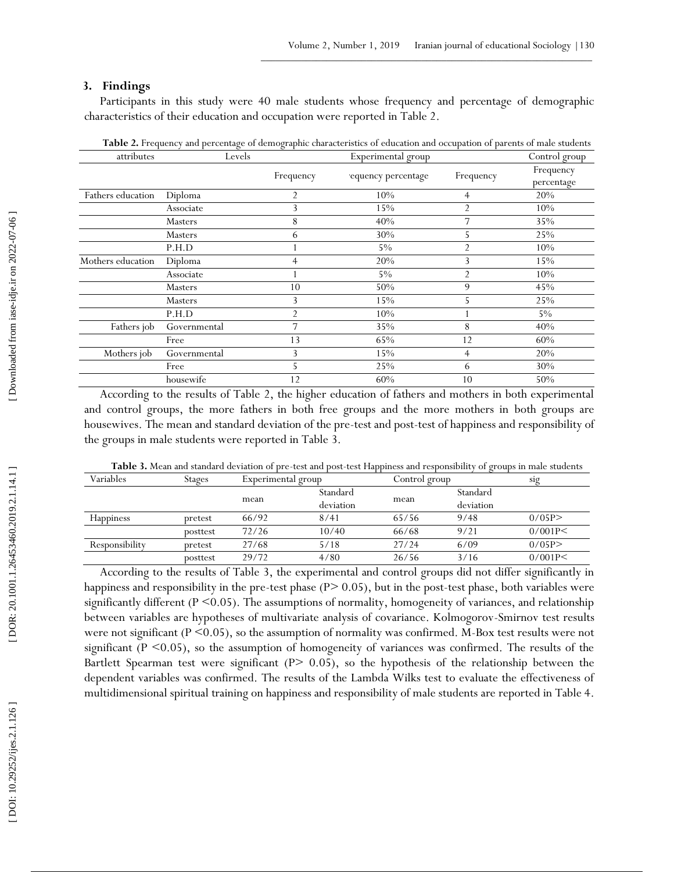## **3 . Findings**

Participants in this study were 40 male students whose frequency and percentage of demographic characteristics of their education and occupation were reported in Table 2.

| attributes        | Levels         |           | Experimental group |                |                         |  |
|-------------------|----------------|-----------|--------------------|----------------|-------------------------|--|
|                   |                | Frequency | equency percentage | Frequency      | Frequency<br>percentage |  |
| Fathers education | Diploma        | 2         | 10%                | $\overline{4}$ | 20%                     |  |
|                   | Associate      | 3         | 15%                | 2              | 10%                     |  |
|                   | Masters        | 8         | 40%                | 7              | 35%                     |  |
|                   | <b>Masters</b> | 6         | 30%                | 5              | 25%                     |  |
|                   | P.H.D          |           | $5\%$              | 2              | 10%                     |  |
| Mothers education | Diploma        | 4         | 20%                | 3              | 15%                     |  |
|                   | Associate      |           | $5\%$              | $\overline{2}$ | 10%                     |  |
|                   | Masters        | 10        | 50%                | 9              | 45%                     |  |
|                   | Masters        | 3         | 15%                | 5              | 25%                     |  |
|                   | P.H.D          | 2         | 10%                |                | 5%                      |  |
| Fathers job       | Governmental   | 7         | 35%                | 8              | 40%                     |  |
|                   | Free           | 13        | 65%                | 12             | 60%                     |  |
| Mothers job       | Governmental   | 3         | 15%                | 4              | 20%                     |  |
|                   | Free           | C.        | 25%                | 6              | 30%                     |  |
|                   | housewife      | 12        | 60%                | 10             | 50%                     |  |

**Table 2.** Frequency and percentage of demographic characteristics of education and occupation of parents of male students

According to the results of Table 2, the higher education of fathers and mothers in both experimental and control groups, the more fathers in both free groups and the more mothers in both groups are housewives. The mean and standard deviation of the pre-test and post-test of happiness and responsibility of the groups in male students were reported in Table 3.

| Variables        | Stages   | Experimental group |           |       | Control group |         |
|------------------|----------|--------------------|-----------|-------|---------------|---------|
|                  |          |                    | Standard  |       | Standard      |         |
|                  |          | mean               | deviation | mean  | deviation     |         |
| <b>Happiness</b> | pretest  | 66/92              | 8/41      | 65/56 | 9/48          | 0/05P   |
|                  | posttest | 72/26              | 10/40     | 66/68 | 9/21          | 0/001P< |
| Responsibility   | pretest  | 27/68              | 5/18      | 27/24 | 6/09          | 0/05P   |
|                  | posttest | 29/72              | 4/80      | 26/56 | 3/16          | 0/001P< |

Table 3. Mean and standard deviation of pre-test and post-test Happiness and responsibility of groups in male students

According to the results of Table 3, the experimental and control groups did not differ significantly in happiness and responsibility in the pre-test phase (P> 0.05), but in the post-test phase, both variables were significantly different ( $P \le 0.05$ ). The assumptions of normality, homogeneity of variances, and relationship between variables are hypotheses of multivariate analysis of covariance. Kolmogorov -Smirnov test results were not significant (P < 0.05), so the assumption of normality was confirmed. M-Box test results were not significant ( $P \le 0.05$ ), so the assumption of homogeneity of variances was confirmed. The results of the Bartlett Spearman test were significant (P> 0.05), so the hypothesis of the relationship between the dependent variables was confirmed. The results of the Lambda Wilks test to evaluate the effectiveness of multidimensional spiritual training on happiness and responsibility of male students are reported in Table 4.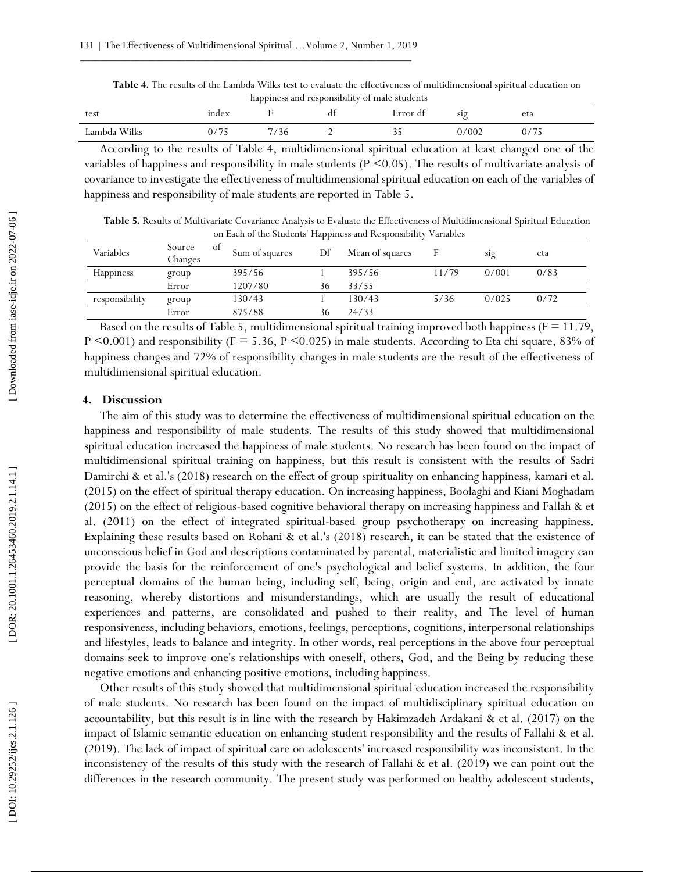**Table 4.** The results of the Lambda Wilks test to evaluate the effectiveness of multidimensional spiritual education on happiness and responsibility of male students

| test              | mdex                         |      | dt | $\cdot$<br>$\sim$<br><b>Error</b><br>. qı | S19   | eta                      |
|-------------------|------------------------------|------|----|-------------------------------------------|-------|--------------------------|
| Wilks<br>Lambda ` | $\sqrt{2}$<br>$\cap$<br>0/13 | - 36 |    | J J                                       | 0/002 | $\sqrt{5}$<br>Ι.<br>- 70 |

According to the results of Table 4, multidimensional spiritual education at least changed one of the variables of happiness and responsibility in male students ( $P \le 0.05$ ). The results of multivariate analysis of covariance to investigate the effectiveness of multidimensional spiritual education on each of the variables of happiness and responsibility of male students are reported in Table 5.

**Table 5.** Results of Multivariate Covariance Analysis to Evaluate the Effectiveness of Multidimensional Spiritual Education on Each of the Students' Happiness and Responsibility Variables

| Variables      | Source<br>Οİ<br>Changes | Sum of squares | Df | Mean of squares |       | sig   | eta  |
|----------------|-------------------------|----------------|----|-----------------|-------|-------|------|
| Happiness      | group                   | 395/56         |    | 395/56          | 11/79 | 0/001 | 0/83 |
|                | Error                   | 1207/80        | 36 | 33/55           |       |       |      |
| responsibility | group                   | 130/43         |    | 130/43          | 5/36  | 0/025 | 0/72 |
|                | Error                   | 875/88         | 36 | 24/33           |       |       |      |

Based on the results of Table 5, multidimensional spiritual training improved both happiness ( $F = 11.79$ , P <0.001) and responsibility (F = 5.36, P <0.025) in male students. According to Eta chi square, 83% of happiness changes and 72% of responsibility changes in male students are the result of the effectiveness of multidimensional spiritual education.

### **4. Discussion**

The aim of this study was to determine the effectiveness of multidimensional spiritual education on the happiness and responsibility of male students. The results of this study showed that multidimensional spiritual education increased the happiness of male students. No research has been found on the impact of multidimensional spiritual training on happiness, but this result is consistent with the results of Sadri Damirchi & et al.'s (2018) research on the effect of group spirituality on enhancing happiness, kamari et al. (2015) on the effect of spiritual therapy education. On increasing happiness, Boolaghi and Kiani Moghadam (2015) on the effect of religious -based cognitive behavioral therapy on increasing happiness and Fal lah & et al. (2011) on the effect of integrated spiritual -based group psychotherapy on increasing happiness. Explaining these results based on Rohani & et al.'s (2018) research, it can be stated that the existence of unconscious belief in God and descriptions contaminated by parental, materialistic and limited imagery can provide the basis for the reinforcement of one's psychological and belief systems. In addition, the four perceptual domains of the human being, including self, being, origin and end, are activated by innate reasoning, whereby distortions and misunderstandings, which are usually the result of educational experiences and patterns, are consolidated and pushed to their reality, and The level of human responsiveness, including behaviors, emotions, feelings, perceptions, cognitions, interpersonal relationships and lifestyles, leads to balance and integrity. In other words, real perceptions in the above four perceptual domains seek to improve one's relationships with oneself, others, God, and the Being by reducing these negative emotions and enhancing positive emotions, including happiness.

Other results of this study showed that multidimensional spiritual education increased the responsibility of male students. No research has been found on the impact of multidisciplinary spiritual education on accountability, but this result is in line with the research by Hakimzadeh Ardakani & et al. (2017) on the impact of Islamic semantic education on enhancing student responsibility and the results of Fal lahi & et al. (2019). The lack of impact of spiritual care on adolescents' increased responsibility was inconsistent. In the inconsistency of the results of this study with the research of Fal lahi & et al. (2019) we can point out the differences in the research community. The present study was performed on healthy adolescent students,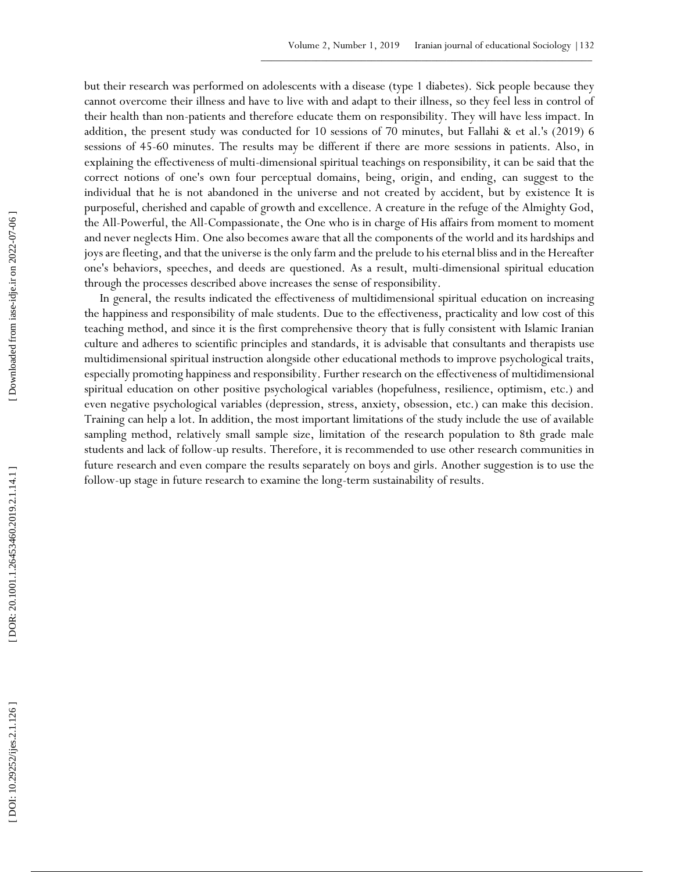but their research was performed on adolescents with a disease (type 1 diabetes). Sick people because they cannot overcome their illness and have to live with and adapt to their illness, so they feel less in control of their health than non -patients and therefore educate them on responsibility. They will have less impact. In addition, the present study was conducted for 10 sessions of 70 minutes, but Fal lahi & et al.'s (2019) 6 sessions of 45 -60 minutes. The results may be different if there are more sessions in patients. Also, in explaining the effectiveness of multi -dimensional spiritual teachings on responsibility, it can be said that the correct notions of one's own four perceptual domains, being, origin, and ending, can suggest to the individual that he is not abandoned in the universe and not created by accident, but by existence It is purposeful, cherished and capable of growth and excellence. A creature in the refuge of the Almighty God, the All -Powerful, the All -Compassionate, the One who is in charge of His affairs from moment to moment and never neglects Him. One also becomes aware that all the components of the world and its hardships and joys are fleeting, and that the universe is the only farm and the prelude to his eternal bliss and in the Hereafter one's behaviors, speeches, and deeds are questioned. As a result, multi -dimensional spiritual education through the processes described above increases the sense of responsibility.

In general, the results indicated the effectiveness of multidimensional spiritual education on increasing the happiness and responsibility of male students. Due to the effectiveness, practicality and low cost of this teaching method, and since it is the first comprehensive theory that is fully consistent with Islamic Iranian culture and adheres to scientific principles and standards, it is advisable that consultants and therapists use multidimensional spiritual instruction alongside other educational methods to improve psychological traits, especially promoting happiness and responsibility. Further research on the effectiveness of multidimensional spiritual education on other positive psychological variables (hopefulness, resilience, optimism, etc.) and even negative psychological variables (depression, stress, anxiety, obsession, etc.) can make this decision. Training can help a lot. In addition, the most important limitations of the study include the use of available sampling method, relatively small sample size, limitation of the research population to 8th grade male students and lack of follow -up results. Therefore, it is recommended to use other research communities in future research and even compare the results separately on boys and girls. Another suggestion is to use the follow -up stage in future research to examine the long For results. In the constrained from the results. The results of results. The Allian State of the substantial the constrained from the sustained from the substantial of particles and the constrained from the substantial o